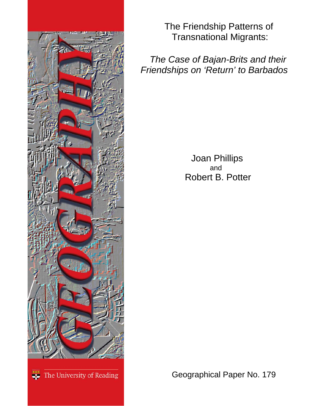

The Friendship Patterns of Transnational Migrants:

 *The Case of Bajan-Brits and their Friendships on 'Return' to Barbados*

> Joan Phillips<br>and Robert B. Potter

<sup>232</sup> The University of Reading

Geographical Paper No. 179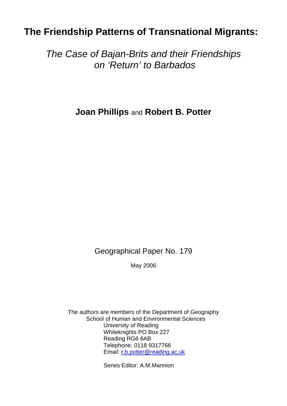# **The Friendship Patterns of Transnational Migrants:**

*The Case of Bajan-Brits and their Friendships on 'Return' to Barbados* 

**Joan Phillips** and **Robert B. Potter** 

Geographical Paper No. 179

May 2006

The authors are members of the Department of Geography School of Human and Environmental Sciences University of Reading Whiteknights PO Box 227 Reading RG6 6AB Telephone: 0118 9317766 Email: [r.b.potter@reading.ac.uk](mailto:r.b.potter@reading.ac.uk)

Series Editor: A.M.Mannion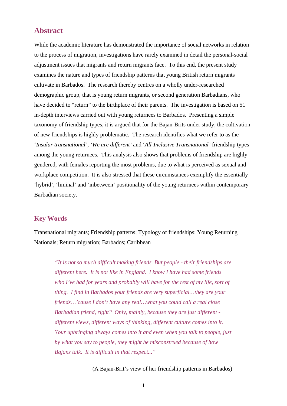## **Abstract**

While the academic literature has demonstrated the importance of social networks in relation to the process of migration, investigations have rarely examined in detail the personal-social adjustment issues that migrants and return migrants face. To this end, the present study examines the nature and types of friendship patterns that young British return migrants cultivate in Barbados. The research thereby centres on a wholly under-researched demographic group, that is young return migrants, or second generation Barbadians, who have decided to "return" to the birthplace of their parents. The investigation is based on 51 in-depth interviews carried out with young returnees to Barbados. Presenting a simple taxonomy of friendship types, it is argued that for the Bajan-Brits under study, the cultivation of new friendships is highly problematic. The research identifies what we refer to as the '*Insular transnational', 'We are different'* and '*All-Inclusive Transnational'* friendship types among the young returnees. This analysis also shows that problems of friendship are highly gendered, with females reporting the most problems, due to what is perceived as sexual and workplace competition. It is also stressed that these circumstances exemplify the essentially 'hybrid', 'liminal' and 'inbetween' positionality of the young returnees within contemporary Barbadian society.

### **Key Words**

Transnational migrants; Friendship patterns; Typology of friendships; Young Returning Nationals; Return migration; Barbados; Caribbean

*"It is not so much difficult making friends. But people - their friendships are different here. It is not like in England. I know I have had some friends*  who I've had for years and probably will have for the rest of my life, sort of *thing. I find in Barbados your friends are very superficial…they are your friends…'cause I don't have any real…what you could call a real close Barbadian friend, right? Only, mainly, because they are just different different views, different ways of thinking, different culture comes into it. Your upbringing always comes into it and even when you talk to people, just by what you say to people, they might be misconstrued because of how Bajans talk. It is difficult in that respect..."* 

(A Bajan-Brit's view of her friendship patterns in Barbados)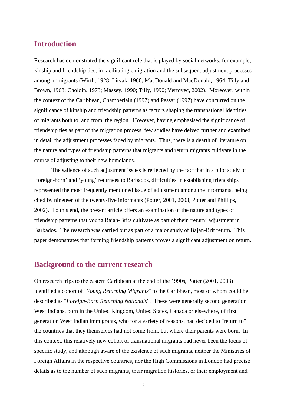## **Introduction**

Research has demonstrated the significant role that is played by social networks, for example, kinship and friendship ties, in facilitating emigration and the subsequent adjustment processes among immigrants (Wirth, 1928; Litvak, 1960; MacDonald and MacDonald, 1964; Tilly and Brown, 1968; Choldin, 1973; Massey, 1990; Tilly, 1990; Vertovec, 2002). Moreover, within the context of the Caribbean, Chamberlain (1997) and Pessar (1997) have concurred on the significance of kinship and friendship patterns as factors shaping the transnational identities of migrants both to, and from, the region. However, having emphasised the significance of friendship ties as part of the migration process, few studies have delved further and examined in detail the adjustment processes faced by migrants. Thus, there is a dearth of literature on the nature and types of friendship patterns that migrants and return migrants cultivate in the course of adjusting to their new homelands.

The salience of such adjustment issues is reflected by the fact that in a pilot study of 'foreign-born' and 'young' returnees to Barbados, difficulties in establishing friendships represented the most frequently mentioned issue of adjustment among the informants, being cited by nineteen of the twenty-five informants (Potter, 2001, 2003; Potter and Phillips, 2002). To this end, the present article offers an examination of the nature and types of friendship patterns that young Bajan-Brits cultivate as part of their 'return' adjustment in Barbados. The research was carried out as part of a major study of Bajan-Brit return. This paper demonstrates that forming friendship patterns proves a significant adjustment on return.

## **Background to the current research**

On research trips to the eastern Caribbean at the end of the 1990s, Potter (2001, 2003) identified a cohort of "*Young Returning Migrants*" to the Caribbean, most of whom could be described as "*Foreign-Born Returning Nationals*". These were generally second generation West Indians, born in the United Kingdom, United States, Canada or elsewhere, of first generation West Indian immigrants, who for a variety of reasons, had decided to "return to" the countries that they themselves had not come from, but where their parents were born. In this context, this relatively new cohort of transnational migrants had never been the focus of specific study, and although aware of the existence of such migrants, neither the Ministries of Foreign Affairs in the respective countries, nor the High Commissions in London had precise details as to the number of such migrants, their migration histories, or their employment and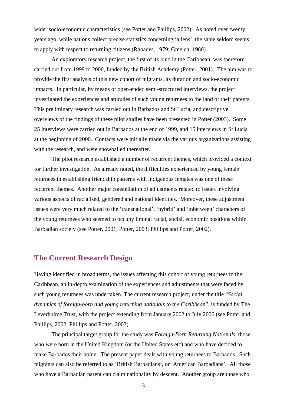wider socio-economic characteristics (see Potter and Phillips, 2002). As noted over twenty years ago, while nations collect precise statistics concerning 'aliens', the same seldom seems to apply with respect to returning citizens (Rhoades, 1979; Gmelch, 1980).

An exploratory research project, the first of its kind in the Caribbean, was therefore carried out from 1999 to 2000, funded by the British Academy (Potter, 2001). The aim was to provide the first analysis of this new cohort of migrants, its duration and socio-economic impacts. In particular, by means of open-ended semi-structured interviews, the project investigated the experiences and attitudes of such young returnees to the land of their parents. This preliminary research was carried out in Barbados and St Lucia, and descriptive overviews of the findings of these pilot studies have been presented in Potter (2003). Some 25 interviews were carried out in Barbados at the end of 1999, and 15 interviews in St Lucia at the beginning of 2000. Contacts were initially made via the various organizations assisting with the research, and were snowballed thereafter.

The pilot research established a number of recurrent themes, which provided a context for further investigation. As already noted, the difficulties experienced by young female returnees in establishing friendship patterns with indigenous females was one of these recurrent themes. Another major constellation of adjustments related to issues involving various aspects of racialised, gendered and national identities. Moreover, these adjustment issues were very much related to the 'transnational', 'hybrid' and 'inbetween' characters of the young returnees who seemed to occupy liminal racial, social, economic positions within Barbadian society (see Potter, 2001, Potter, 2003; Phillips and Potter, 2002).

## **The Current Research Design**

Having identified in broad terms, the issues affecting this cohort of young returnees to the Caribbean, an in-depth examination of the experiences and adjustments that were faced by such young returnees was undertaken. The current research project, under the title "*Social dynamics of foreign-born and young returning nationals to the Caribbean*", is funded by The Leverhulme Trust, with the project extending from January 2002 to July 2006 (see Potter and Phillips, 2002; Phillips and Potter, 2003).

The principal target group for the study was *Foreign-Born Returning Nationals*, those who were born in the United Kingdom (or the United States etc) and who have decided to make Barbados their home. The present paper deals with young returnees to Barbados. Such migrants can also be referred to as 'British Barbadians', or 'American Barbadians'. All those who have a Barbadian parent can claim nationality by descent. Another group are those who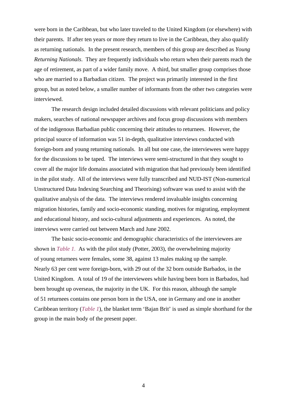were born in the Caribbean, but who later traveled to the United Kingdom (or elsewhere) with their parents. If after ten years or more they return to live in the Caribbean, they also qualify as returning nationals. In the present research, members of this group are described as *Young Returning Nationals*. They are frequently individuals who return when their parents reach the age of retirement, as part of a wider family move. A third, but smaller group comprises those who are married to a Barbadian citizen. The project was primarily interested in the first group, but as noted below, a smaller number of informants from the other two categories were interviewed.

The research design included detailed discussions with relevant politicians and policy makers, searches of national newspaper archives and focus group discussions with members of the indigenous Barbadian public concerning their attitudes to returnees. However, the principal source of information was 51 in-depth, qualitative interviews conducted with foreign-born and young returning nationals. In all but one case, the interviewees were happy for the discussions to be taped. The interviews were semi-structured in that they sought to cover all the major life domains associated with migration that had previously been identified in the pilot study. All of the interviews were fully transcribed and NUD-IST (Non-numerical Unstructured Data Indexing Searching and Theorising) software was used to assist with the qualitative analysis of the data. The interviews rendered invaluable insights concerning migration histories, family and socio-economic standing, motives for migrating, employment and educational history, and socio-cultural adjustments and experiences. As noted, the interviews were carried out between March and June 2002.

The basic socio-economic and demographic characteristics of the interviewees are shown in *Table 1.* As with the pilot study (Potter, 2003), the overwhelming majority of young returnees were females, some 38, against 13 males making up the sample. Nearly 63 per cent were foreign-born, with 29 out of the 32 born outside Barbados, in the United Kingdom. A total of 19 of the interviewees while having been born in Barbados, had been brought up overseas, the majority in the UK. For this reason, although the sample of 51 returnees contains one person born in the USA, one in Germany and one in another Caribbean territory (*Table 1*), the blanket term 'Bajan Brit' is used as simple shorthand for the group in the main body of the present paper.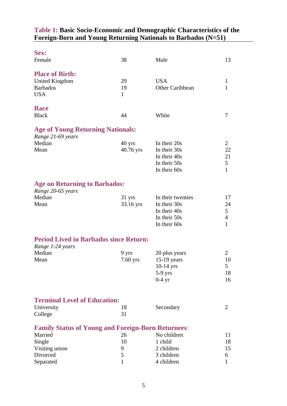## **Table 1: Basic Socio-Economic and Demographic Characteristics of the Foreign-Born and Young Returning Nationals to Barbados (N=51)**

| Sex:<br>Female                                            | 38           | Male              | 13             |
|-----------------------------------------------------------|--------------|-------------------|----------------|
|                                                           |              |                   |                |
| <b>Place of Birth:</b>                                    |              |                   |                |
| <b>United Kingdom</b>                                     | 29           | <b>USA</b>        | $\mathbf{1}$   |
| <b>Barbados</b>                                           | 19           | Other Caribbean   | 1              |
| <b>USA</b>                                                | $\mathbf{1}$ |                   |                |
| Race                                                      |              |                   |                |
| <b>Black</b>                                              | 44           | White             | 7              |
| <b>Age of Young Returning Nationals:</b>                  |              |                   |                |
| Range 21-69 years                                         |              |                   |                |
| Median                                                    | $40$ yrs     | In their 20s      | $\overline{2}$ |
| Mean                                                      | 40.76 yrs    | In their 30s      | 22             |
|                                                           |              | In their 40s      | 21             |
|                                                           |              | In their 50s      | 5              |
|                                                           |              | In their 60s      | $\mathbf{1}$   |
| <b>Age on Returning to Barbados:</b>                      |              |                   |                |
| Range 20-65 years                                         |              |                   |                |
| Median                                                    | 31 yrs       | In their twenties | 17             |
| Mean                                                      | 33.16 yrs    | In their 30s      | 24             |
|                                                           |              | In their 40s      | 5              |
|                                                           |              | In their 50s      | $\overline{4}$ |
|                                                           |              | In their 60s      | $\mathbf{1}$   |
| <b>Period Lived in Barbados since Return:</b>             |              |                   |                |
| Range 1-24 years                                          |              |                   |                |
| Median                                                    | 9 yrs        | 20 plus years     | $\overline{2}$ |
| Mean                                                      | $7.60$ yrs   | $15-19$ years     | 10             |
|                                                           |              | $10-14$ yrs       | 5              |
|                                                           |              | $5-9$ yrs         | 18             |
|                                                           |              | $0-4$ yr          | 16             |
|                                                           |              |                   |                |
| <b>Terminal Level of Education:</b>                       |              |                   |                |
| University                                                | 18           | Secondary         | $\overline{2}$ |
| College                                                   | 31           |                   |                |
| <b>Family Status of Young and Foreign-Born Returnees:</b> |              |                   |                |
| Married                                                   | 26           | No children       | 11             |
| Single                                                    | 10           | 1 child           | 18             |
| Visiting union                                            | 9            | 2 children        | 15             |
| Divorced                                                  | 5            | 3 children        | 6              |
| Separated                                                 | $\mathbf{1}$ | 4 children        | $\mathbf{1}$   |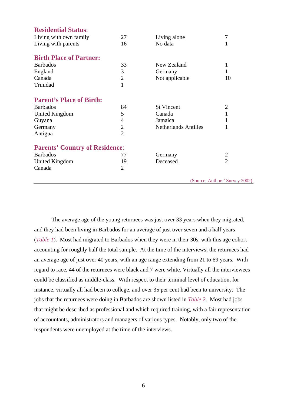| <b>Residential Status:</b>            |                |                             |                                |
|---------------------------------------|----------------|-----------------------------|--------------------------------|
| Living with own family                | 27             | Living alone                | 7                              |
| Living with parents                   | 16             | No data                     | 1                              |
| <b>Birth Place of Partner:</b>        |                |                             |                                |
| <b>Barbados</b>                       | 33             | New Zealand                 | 1                              |
| England                               | 3              | Germany                     | 1                              |
| Canada                                | $\overline{2}$ | Not applicable              | 10                             |
| Trinidad                              | $\mathbf{1}$   |                             |                                |
| <b>Parent's Place of Birth:</b>       |                |                             |                                |
| <b>Barbados</b>                       | 84             | <b>St Vincent</b>           | $\overline{2}$                 |
| <b>United Kingdom</b>                 | 5              | Canada                      | 1                              |
| Guyana                                | 4              | Jamaica                     |                                |
| Germany                               | $\overline{2}$ | <b>Netherlands Antilles</b> |                                |
| Antigua                               | $\overline{2}$ |                             |                                |
| <b>Parents' Country of Residence:</b> |                |                             |                                |
| <b>Barbados</b>                       | 77             | Germany                     | $\overline{2}$                 |
| <b>United Kingdom</b>                 | 19             | Deceased                    | $\overline{2}$                 |
| Canada                                | $\overline{2}$ |                             |                                |
|                                       |                |                             | (Source: Authors' Survey 2002) |

The average age of the young returnees was just over 33 years when they migrated, and they had been living in Barbados for an average of just over seven and a half years (*Table 1*). Most had migrated to Barbados when they were in their 30s, with this age cohort accounting for roughly half the total sample. At the time of the interviews, the returnees had an average age of just over 40 years, with an age range extending from 21 to 69 years. With regard to race, 44 of the returnees were black and 7 were white. Virtually all the interviewees could be classified as middle-class. With respect to their terminal level of education, for instance, virtually all had been to college, and over 35 per cent had been to university. The jobs that the returnees were doing in Barbados are shown listed in *Table 2*. Most had jobs that might be described as professional and which required training, with a fair representation of accountants, administrators and managers of various types. Notably, only two of the respondents were unemployed at the time of the interviews.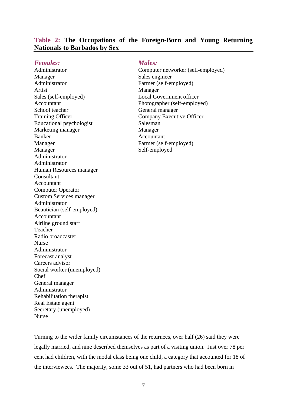| <b>Females:</b>                 | <b>Males:</b>                      |
|---------------------------------|------------------------------------|
| Administrator                   | Computer networker (self-employed) |
| Manager                         | Sales engineer                     |
| Administrator                   | Farmer (self-employed)             |
| Artist                          | Manager                            |
| Sales (self-employed)           | <b>Local Government officer</b>    |
| Accountant                      | Photographer (self-employed)       |
| School teacher                  | General manager                    |
| <b>Training Officer</b>         | Company Executive Officer          |
| <b>Educational psychologist</b> | Salesman                           |
| Marketing manager               | Manager                            |
| <b>Banker</b>                   | Accountant                         |
| Manager                         | Farmer (self-employed)             |
| Manager                         | Self-employed                      |
| Administrator                   |                                    |
| Administrator                   |                                    |
| Human Resources manager         |                                    |
| Consultant                      |                                    |
| Accountant                      |                                    |
| <b>Computer Operator</b>        |                                    |
| <b>Custom Services manager</b>  |                                    |
| Administrator                   |                                    |
| Beautician (self-employed)      |                                    |
| Accountant                      |                                    |
| Airline ground staff            |                                    |
| Teacher                         |                                    |
| Radio broadcaster               |                                    |
| <b>Nurse</b>                    |                                    |
| Administrator                   |                                    |
| Forecast analyst                |                                    |
| Careers advisor                 |                                    |
| Social worker (unemployed)      |                                    |
| Chef                            |                                    |
| General manager                 |                                    |
| Administrator                   |                                    |
| Rehabilitation therapist        |                                    |
| Real Estate agent               |                                    |
| Secretary (unemployed)          |                                    |
| <b>Nurse</b>                    |                                    |
|                                 |                                    |
|                                 |                                    |

### **Table 2: The Occupations of the Foreign-Born and Young Returning Nationals to Barbados by Sex**

Turning to the wider family circumstances of the returnees, over half (26) said they were legally married, and nine described themselves as part of a visiting union. Just over 78 per cent had children, with the modal class being one child, a category that accounted for 18 of the interviewees. The majority, some 33 out of 51, had partners who had been born in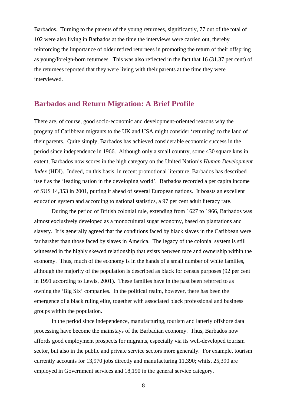Barbados. Turning to the parents of the young returnees, significantly, 77 out of the total of 102 were also living in Barbados at the time the interviews were carried out, thereby reinforcing the importance of older retired returnees in promoting the return of their offspring as young/foreign-born returnees. This was also reflected in the fact that 16 (31.37 per cent) of the returnees reported that they were living with their parents at the time they were interviewed.

## **Barbados and Return Migration: A Brief Profile**

There are, of course, good socio-economic and development-oriented reasons why the progeny of Caribbean migrants to the UK and USA might consider 'returning' to the land of their parents. Quite simply, Barbados has achieved considerable economic success in the period since independence in 1966. Although only a small country, some 430 square kms in extent, Barbados now scores in the high category on the United Nation's *Human Development Index* (HDI). Indeed, on this basis, in recent promotional literature, Barbados has described itself as the 'leading nation in the developing world'. Barbados recorded a per capita income of \$US 14,353 in 2001, putting it ahead of several European nations. It boasts an excellent education system and according to national statistics, a 97 per cent adult literacy rate.

During the period of British colonial rule, extending from 1627 to 1966, Barbados was almost exclusively developed as a monocultural sugar economy, based on plantations and slavery. It is generally agreed that the conditions faced by black slaves in the Caribbean were far harsher than those faced by slaves in America. The legacy of the colonial system is still witnessed in the highly skewed relationship that exists between race and ownership within the economy. Thus, much of the economy is in the hands of a small number of white families, although the majority of the population is described as black for census purposes (92 per cent in 1991 according to Lewis, 2001). These families have in the past been referred to as owning the 'Big Six' companies. In the political realm, however, there has been the emergence of a black ruling elite, together with associated black professional and business groups within the population.

In the period since independence, manufacturing, tourism and latterly offshore data processing have become the mainstays of the Barbadian economy. Thus, Barbados now affords good employment prospects for migrants, especially via its well-developed tourism sector, but also in the public and private service sectors more generally. For example, tourism currently accounts for 13,970 jobs directly and manufacturing 11,390; whilst 25,390 are employed in Government services and 18,190 in the general service category.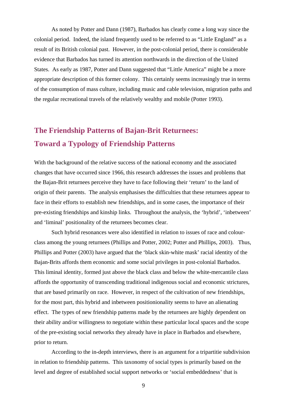As noted by Potter and Dann (1987), Barbados has clearly come a long way since the colonial period. Indeed, the island frequently used to be referred to as "Little England" as a result of its British colonial past. However, in the post-colonial period, there is considerable evidence that Barbados has turned its attention northwards in the direction of the United States. As early as 1987, Potter and Dann suggested that "Little America" might be a more appropriate description of this former colony. This certainly seems increasingly true in terms of the consumption of mass culture, including music and cable television, migration paths and the regular recreational travels of the relatively wealthy and mobile (Potter 1993).

## **The Friendship Patterns of Bajan-Brit Returnees: Toward a Typology of Friendship Patterns**

With the background of the relative success of the national economy and the associated changes that have occurred since 1966, this research addresses the issues and problems that the Bajan-Brit returnees perceive they have to face following their 'return' to the land of origin of their parents. The analysis emphasises the difficulties that these returnees appear to face in their efforts to establish new friendships, and in some cases, the importance of their pre-existing friendships and kinship links. Throughout the analysis, the 'hybrid', 'inbetween' and 'liminal' positionality of the returnees becomes clear.

Such hybrid resonances were also identified in relation to issues of race and colourclass among the young returnees (Phillips and Potter, 2002; Potter and Phillips, 2003). Thus, Phillips and Potter (2003) have argued that the 'black skin-white mask' racial identity of the Bajan-Brits affords them economic and some social privileges in post-colonial Barbados. This liminal identity, formed just above the black class and below the white-mercantile class affords the opportunity of transcending traditional indigenous social and economic strictures, that are based primarily on race. However, in respect of the cultivation of new friendships, for the most part, this hybrid and inbetween positionionality seems to have an alienating effect. The types of new friendship patterns made by the returnees are highly dependent on their ability and/or willingness to negotiate within these particular local spaces and the scope of the pre-existing social networks they already have in place in Barbados and elsewhere, prior to return.

According to the in-depth interviews, there is an argument for a tripartitie subdivision in relation to friendship patterns. This taxonomy of social types is primarily based on the level and degree of established social support networks or 'social embeddedness' that is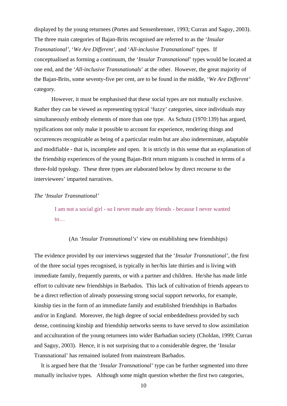displayed by the young returnees (Portes and Sensenbrenner, 1993; Curran and Saguy, 2003). The three main categories of Bajan-Brits recognised are referred to as the '*Insular Transnational'*, '*We Are Different'*, and '*All-inclusive Transnational*' types. If conceptualised as forming a continuum, the '*Insular Transnational*' types would be located at one end, and the '*All-inclusive Transnationals*' at the other. However, the great majority of the Bajan-Brits, some seventy-five per cent, are to be found in the middle, '*We Are Different'* category.

However, it must be emphasised that these social types are not mutually exclusive. Rather they can be viewed as representing typical 'fuzzy' categories, since individuals may simultaneously embody elements of more than one type. As Schutz (1970:139) has argued, typifications not only make it possible to account for experience, rendering things and occurrences recognizable as being of a particular realm but are also indeterminate, adaptable and modifiable - that is, incomplete and open. It is strictly in this sense that an explanation of the friendship experiences of the young Bajan-Brit return migrants is couched in terms of a three-fold typology. These three types are elaborated below by direct recourse to the interviewees' imparted narratives.

#### *The 'Insular Transnational'*

I am not a social girl - so I never made any friends - because I never wanted to…

#### (An *'Insular Transnational's*' view on establishing new friendships)

The evidence provided by our interviews suggested that the '*Insular Transnational'*, the first of the three social types recognised, is typically in her/his late thirties and is living with immediate family, frequently parents, or with a partner and children. He/she has made little effort to cultivate new friendships in Barbados. This lack of cultivation of friends appears to be a direct reflection of already possessing strong social support networks, for example, kinship ties in the form of an immediate family and established friendships in Barbados and/or in England. Moreover, the high degree of social embeddedness provided by such dense, continuing kinship and friendship networks seems to have served to slow assimilation and acculturation of the young returnees into wider Barbadian society (Choldan, 1999; Curran and Saguy, 2003). Hence, it is not surprising that to a considerable degree, the 'Insular Transnational' has remained isolated from mainstream Barbados.

It is argued here that the *'Insular Transnational'* type can be further segmented into three mutually inclusive types. Although some might question whether the first two categories,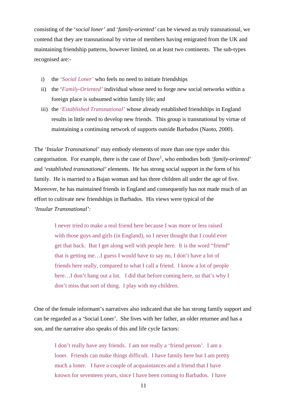consisting of the '*social loner'* and '*family-oriented'* can be viewed as truly transnational*,* we contend that they are transnational by virtue of members having emigrated from the UK and maintaining friendship patterns, however limited, on at least two continents. The sub-types recognised are:-

- i) the '*Social Loner'* who feels no need to initiate friendships
- ii) the '*Family-Oriented'* individual whose need to forge new social networks within a foreign place is subsumed within family life; and
- iii) the '*Established Transnational'* whose already established friendships in England results in little need to develop new friends. This group is transnational by virtue of maintaining a continuing network of supports outside Barbados (Naoto, 2000).

The *'Insular Transnational'* may embody elements of more than one type under this categorisation. For example, there is the case of Dave<sup>[1](#page-25-0)</sup>, who embodies both *'family-oriented'* and *'established transnational'* elements. He has strong social support in the form of his family. He is married to a Bajan woman and has three children all under the age of five. Moreover, he has maintained friends in England and consequently has not made much of an effort to cultivate new friendships in Barbados. His views were typical of the *'Insular Transnational':* 

I never tried to make a real friend here because I was more or less raised with those guys and girls (in England), so I never thought that I could ever get that back. But I get along well with people here. It is the word "friend" that is getting me…I guess I would have to say no, I don't have a lot of friends here really, compared to what I call a friend. I know a lot of people here...I don't hang out a lot. I did that before coming here, so that's why I don't miss that sort of thing. I play with my children.

One of the female informant's narratives also indicated that she has strong family support and can be regarded as a 'Social Loner'. She lives with her father, an older returnee and has a son, and the narrative also speaks of this and life cycle factors:

I don't really have any friends. I am not really a 'friend person'. I am a loner. Friends can make things difficult. I have family here but I am pretty much a loner. I have a couple of acquaintances and a friend that I have known for seventeen years, since I have been coming to Barbados. I have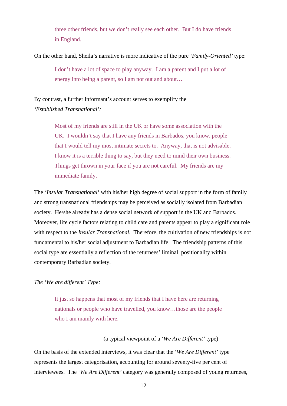three other friends, but we don't really see each other. But I do have friends in England.

On the other hand, Sheila's narrative is more indicative of the pure *'Family-Oriented'* type:

I don't have a lot of space to play anyway. I am a parent and I put a lot of energy into being a parent, so I am not out and about…

By contrast, a further informant's account serves to exemplify the *'Established Transnational':* 

> Most of my friends are still in the UK or have some association with the UK. I wouldn't say that I have any friends in Barbados, you know, people that I would tell my most intimate secrets to. Anyway, that is not advisable. I know it is a terrible thing to say, but they need to mind their own business. Things get thrown in your face if you are not careful. My friends are my immediate family.

The *'Insular Transnational'* with his/her high degree of social support in the form of family and strong transnational friendships may be perceived as socially isolated from Barbadian society. He/she already has a dense social network of support in the UK and Barbados. Moreover, life cycle factors relating to child care and parents appear to play a significant role with respect to the *Insular Transnational.* Therefore, the cultivation of new friendships is not fundamental to his/her social adjustment to Barbadian life. The friendship patterns of this social type are essentially a reflection of the returnees' liminal positionality within contemporary Barbadian society.

*The 'We are different' Type:* 

It just so happens that most of my friends that I have here are returning nationals or people who have travelled, you know…those are the people who I am mainly with here.

### (a typical viewpoint of a *'We Are Different'* type)

On the basis of the extended interviews, it was clear that the '*We Are Different'* type represents the largest categorisation, accounting for around seventy-five per cent of interviewees. The '*We Are Different'* category was generally composed of young returnees,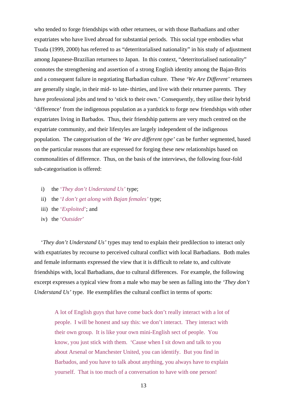who tended to forge friendships with other returnees, or with those Barbadians and other expatriates who have lived abroad for substantial periods. This social type embodies what Tsuda (1999, 2000) has referred to as "deterritorialised nationality" in his study of adjustment among Japanese-Brazilian returnees to Japan. In this context, "deterritorialised nationality" connotes the strengthening and assertion of a strong English identity among the Bajan-Brits and a consequent failure in negotiating Barbadian culture. These *'We Are Different'* returnees are generally single, in their mid- to late- thirties, and live with their returnee parents. They have professional jobs and tend to 'stick to their own.' Consequently, they utilise their hybrid 'difference' from the indigenous population as a yardstick to forge new friendships with other expatriates living in Barbados. Thus, their friendship patterns are very much centred on the expatriate community, and their lifestyles are largely independent of the indigenous population. The categorisation of the *'We are different type'* can be further segmented, based on the particular reasons that are expressed for forging these new relationships based on commonalities of difference. Thus, on the basis of the interviews, the following four-fold sub-categorisation is offered:

- i) the '*They don't Understand Us'* type;
- ii) the '*I don't get along with Bajan females'* type;
- iii) the '*Exploited*'; and
- iv) the '*Outsider*'

'*They don't Understand Us'* types may tend to explain their predilection to interact only with expatriates by recourse to perceived cultural conflict with local Barbadians. Both males and female informants expressed the view that it is difficult to relate to, and cultivate friendships with, local Barbadians, due to cultural differences. For example, the following excerpt expresses a typical view from a male who may be seen as falling into the *'They don't Understand Us'* type. He exemplifies the cultural conflict in terms of sports:

A lot of English guys that have come back don't really interact with a lot of people. I will be honest and say this: we don't interact. They interact with their own group. It is like your own mini-English sect of people. You know, you just stick with them. 'Cause when I sit down and talk to you about Arsenal or Manchester United, you can identify. But you find in Barbados, and you have to talk about anything, you always have to explain yourself. That is too much of a conversation to have with one person!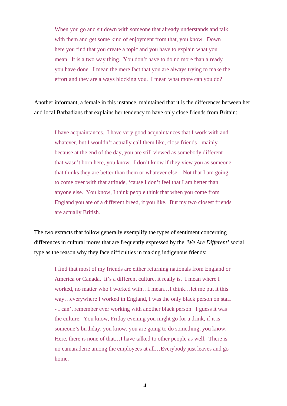When you go and sit down with someone that already understands and talk with them and get some kind of enjoyment from that, you know. Down here you find that you create a topic and you have to explain what you mean. It is a two way thing. You don't have to do no more than already you have done. I mean the mere fact that you are always trying to make the effort and they are always blocking you. I mean what more can you do?

Another informant, a female in this instance, maintained that it is the differences between her and local Barbadians that explains her tendency to have only close friends from Britain:

I have acquaintances. I have very good acquaintances that I work with and whatever, but I wouldn't actually call them like, close friends - mainly because at the end of the day, you are still viewed as somebody different that wasn't born here, you know. I don't know if they view you as someone that thinks they are better than them or whatever else. Not that I am going to come over with that attitude, 'cause I don't feel that I am better than anyone else. You know, I think people think that when you come from England you are of a different breed, if you like. But my two closest friends are actually British.

The two extracts that follow generally exemplify the types of sentiment concerning differences in cultural mores that are frequently expressed by the *'We Are Different'* social type as the reason why they face difficulties in making indigenous friends:

I find that most of my friends are either returning nationals from England or America or Canada. It's a different culture, it really is. I mean where I worked, no matter who I worked with…I mean…I think…let me put it this way…everywhere I worked in England, I was the only black person on staff - I can't remember ever working with another black person. I guess it was the culture. You know, Friday evening you might go for a drink, if it is someone's birthday, you know, you are going to do something, you know. Here, there is none of that...I have talked to other people as well. There is no camaraderie among the employees at all…Everybody just leaves and go home.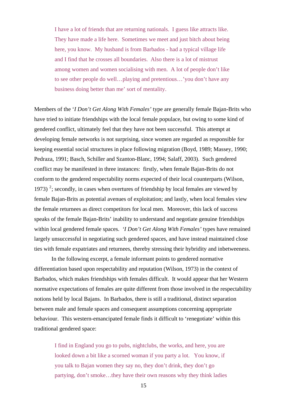I have a lot of friends that are returning nationals. I guess like attracts like. They have made a life here. Sometimes we meet and just bitch about being here, you know. My husband is from Barbados - had a typical village life and I find that he crosses all boundaries. Also there is a lot of mistrust among women and women socialising with men. A lot of people don't like to see other people do well…playing and pretentious…'you don't have any business doing better than me' sort of mentality.

Members of the '*I Don't Get Along With Females'* type are generally female Bajan-Brits who have tried to initiate friendships with the local female populace, but owing to some kind of gendered conflict, ultimately feel that they have not been successful. This attempt at developing female networks is not surprising, since women are regarded as responsible for keeping essential social structures in place following migration (Boyd, 1989; Massey, 1990; Pedraza, 1991; Basch, Schiller and Szanton-Blanc, 1994; Salaff, 2003). Such gendered conflict may be manifested in three instances: firstly, when female Bajan-Brits do not conform to the gendered respectability norms expected of their local counterparts (Wilson, 1973)<sup>[2](#page-25-1)</sup>; secondly, in cases when overtures of friendship by local females are viewed by female Bajan-Brits as potential avenues of exploitation; and lastly, when local females view the female returnees as direct competitors for local men. Moreover, this lack of success speaks of the female Bajan-Brits' inability to understand and negotiate genuine friendships within local gendered female spaces. *'I Don't Get Along With Females'* types have remained largely unsuccessful in negotiating such gendered spaces, and have instead maintained close ties with female expatriates and returnees, thereby stressing their hybridity and inbetweeness.

In the following excerpt, a female informant points to gendered normative differentiation based upon respectability and reputation (Wilson, 1973) in the context of Barbados, which makes friendships with females difficult. It would appear that her Western normative expectations of females are quite different from those involved in the respectability notions held by local Bajans. In Barbados, there is still a traditional, distinct separation between male and female spaces and consequent assumptions concerning appropriate behaviour. This western-emancipated female finds it difficult to 'renegotiate' within this traditional gendered space:

I find in England you go to pubs, nightclubs, the works, and here, you are looked down a bit like a scorned woman if you party a lot. You know, if you talk to Bajan women they say no, they don't drink, they don't go partying, don't smoke…they have their own reasons why they think ladies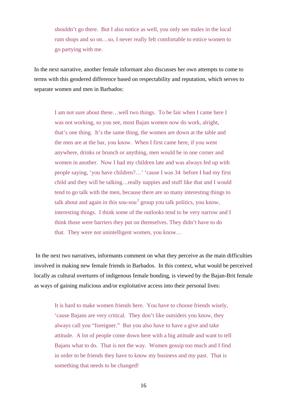shouldn't go there. But I also notice as well, you only see males in the local rum shops and so on…so, I never really felt comfortable to entice women to go partying with me.

In the next narrative, another female informant also discusses her own attempts to come to terms with this gendered difference based on respectability and reputation, which serves to separate women and men in Barbados:

I am not sure about these…well two things. To be fair when I came here I was not working, so you see, most Bajan women now do work, alright, that's one thing. It's the same thing, the women are down at the table and the men are at the bar, you know. When I first came here, if you went anywhere, drinks or brunch or anything, men would be in one corner and women in another. Now I had my children late and was always fed up with people saying, 'you have children?…' 'cause I was 34 before I had my first child and they will be talking…really nappies and stuff like that and I would tend to go talk with the men, because there are so many interesting things to talk about and again in this sou-sou<sup>[3](#page-25-1)</sup> group you talk politics, you know, interesting things. I think some of the outlooks tend to be very narrow and I think those were barriers they put on themselves. They didn't have to do that. They were not unintelligent women, you know…

 In the next two narratives, informants comment on what they perceive as the main difficulties involved in making new female friends in Barbados. In this context, what would be perceived locally as cultural overtures of indigenous female bonding, is viewed by the Bajan-Brit female as ways of gaining malicious and/or exploitative access into their personal lives:

It is hard to make women friends here. You have to choose friends wisely, 'cause Bajans are very critical. They don't like outsiders you know, they always call you "foreigner." But you also have to have a give and take attitude. A lot of people come down here with a big attitude and want to tell Bajans what to do. That is not the way. Women gossip too much and I find in order to be friends they have to know my business and my past. That is something that needs to be changed!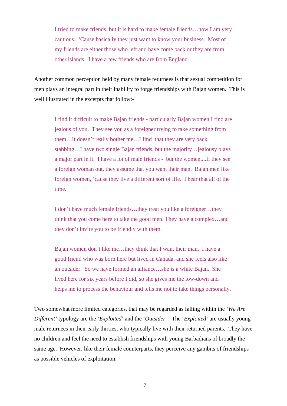I tried to make friends, but it is hard to make female friends…now I am very cautious. 'Cause basically they just want to know your business. Most of my friends are either those who left and have come back or they are from other islands. I have a few friends who are from England.

Another common perception held by many female returnees is that sexual competition for men plays an integral part in their inability to forge friendships with Bajan women. This is well illustrated in the excerpts that follow:-

I find it difficult to make Bajan friends - particularly Bajan women I find are jealous of you. They see you as a foreigner trying to take something from them…It doesn't really bother me…I find that they are very back stabbing…I have two single Bajan friends, but the majority…jealousy plays a major part in it. I have a lot of male friends - but the women....If they see a foreign woman out, they assume that you want their man. Bajan men like foreign women, 'cause they live a different sort of life. I hear that all of the time.

I don't have much female friends…they treat you like a foreigner…they think that you come here to take the good men. They have a complex…and they don't invite you to be friendly with them.

Bajan women don't like me…they think that I want their man. I have a good friend who was born here but lived in Canada, and she feels also like an outsider. So we have formed an alliance…she is a white Bajan. She lived here for six years before I did, so she gives me the low-down and helps me to process the behaviour and tells me not to take things personally.

Two somewhat more limited categories, that may be regarded as falling within the *'We Are Different'* typology are the '*Exploited*' and the '*Outsider'*. The '*Exploited*' are usually young male returnees in their early thirties, who typically live with their returned parents. They have no children and feel the need to establish friendships with young Barbadians of broadly the same age. However, like their female counterparts, they perceive any gambits of friendships as possible vehicles of exploitation: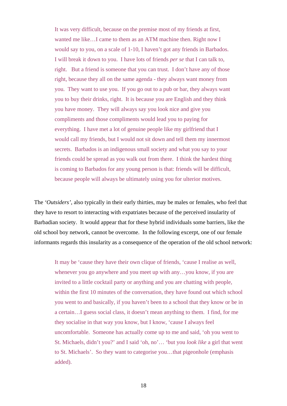It was very difficult, because on the premise most of my friends at first, wanted me like…I came to them as an ATM machine then. Right now I would say to you, on a scale of 1-10, I haven't got any friends in Barbados. I will break it down to you. I have lots of friends *per se* that I can talk to, right. But a friend is someone that you can trust. I don't have any of those right, because they all on the same agenda - they always want money from you. They want to use you. If you go out to a pub or bar, they always want you to buy their drinks, right. It is because you are English and they think you have money. They will always say you look nice and give you compliments and those compliments would lead you to paying for everything. I have met a lot of genuine people like my girlfriend that I would call my friends, but I would not sit down and tell them my innermost secrets. Barbados is an indigenous small society and what you say to your friends could be spread as you walk out from there. I think the hardest thing is coming to Barbados for any young person is that: friends will be difficult, because people will always be ultimately using you for ulterior motives.

The *'Outsiders'*, also typically in their early thirties, may be males or females, who feel that they have to resort to interacting with expatriates because of the perceived insularity of Barbadian society. It would appear that for these hybrid individuals some barriers, like the old school boy network, cannot be overcome. In the following excerpt, one of our female informants regards this insularity as a consequence of the operation of the old school network:

It may be 'cause they have their own clique of friends, 'cause I realise as well, whenever you go anywhere and you meet up with any…you know, if you are invited to a little cocktail party or anything and you are chatting with people, within the first 10 minutes of the conversation, they have found out which school you went to and basically, if you haven't been to a school that they know or be in a certain…I guess social class, it doesn't mean anything to them. I find, for me they socialise in that way you know, but I know, 'cause I always feel uncomfortable. Someone has actually come up to me and said, 'oh you went to St. Michaels, didn't you?' and I said 'oh, no'… 'but you *look like* a girl that went to St. Michaels'. So they want to categorise you…that pigeonhole (emphasis added).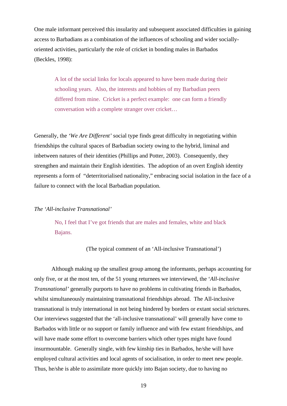One male informant perceived this insularity and subsequent associated difficulties in gaining access to Barbadians as a combination of the influences of schooling and wider sociallyoriented activities, particularly the role of cricket in bonding males in Barbados (Beckles, 1998):

A lot of the social links for locals appeared to have been made during their schooling years. Also, the interests and hobbies of my Barbadian peers differed from mine. Cricket is a perfect example: one can form a friendly conversation with a complete stranger over cricket…

Generally, the *'We Are Different'* social type finds great difficulty in negotiating within friendships the cultural spaces of Barbadian society owing to the hybrid, liminal and inbetween natures of their identities (Phillips and Potter, 2003). Consequently, they strengthen and maintain their English identities. The adoption of an overt English identity represents a form of "deterritorialised nationality," embracing social isolation in the face of a failure to connect with the local Barbadian population.

### *The 'All-inclusive Transnational'*

No, I feel that I've got friends that are males and females, white and black Bajans.

(The typical comment of an 'All-inclusive Transnational')

Although making up the smallest group among the informants, perhaps accounting for only five, or at the most ten, of the 51 young returnees we interviewed, the '*All-inclusive Transnational'* generally purports to have no problems in cultivating friends in Barbados, whilst simultaneously maintaining transnational friendships abroad. The All-inclusive transnational is truly international in not being hindered by borders or extant social strictures. Our interviews suggested that the 'all-inclusive transnational' will generally have come to Barbados with little or no support or family influence and with few extant friendships, and will have made some effort to overcome barriers which other types might have found insurmountable. Generally single, with few kinship ties in Barbados, he/she will have employed cultural activities and local agents of socialisation, in order to meet new people. Thus, he/she is able to assimilate more quickly into Bajan society, due to having no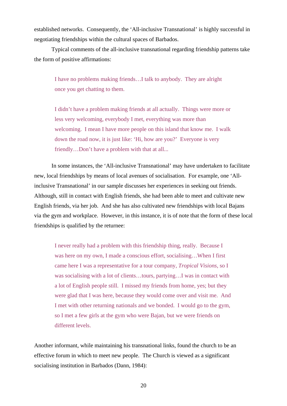established networks. Consequently, the 'All-inclusive Transnational' is highly successful in negotiating friendships within the cultural spaces of Barbados.

Typical comments of the all-inclusive transnational regarding friendship patterns take the form of positive affirmations:

I have no problems making friends…I talk to anybody. They are alright once you get chatting to them.

I didn't have a problem making friends at all actually. Things were more or less very welcoming, everybody I met, everything was more than welcoming. I mean I have more people on this island that know me. I walk down the road now, it is just like: 'Hi, how are you?' Everyone is very friendly…Don't have a problem with that at all...

In some instances, the 'All-inclusive Transnational' may have undertaken to facilitate new, local friendships by means of local avenues of socialisation. For example, one 'Allinclusive Transnational' in our sample discusses her experiences in seeking out friends. Although, still in contact with English friends, she had been able to meet and cultivate new English friends, via her job. And she has also cultivated new friendships with local Bajans via the gym and workplace. However, in this instance, it is of note that the form of these local friendships is qualified by the returnee:

I never really had a problem with this friendship thing, really. Because I was here on my own, I made a conscious effort, socialising…When I first came here I was a representative for a tour company, *Tropical Visions*, so I was socialising with a lot of clients…tours, partying…I was in contact with a lot of English people still. I missed my friends from home, yes; but they were glad that I was here, because they would come over and visit me. And I met with other returning nationals and we bonded. I would go to the gym, so I met a few girls at the gym who were Bajan, but we were friends on different levels.

Another informant, while maintaining his transnational links, found the church to be an effective forum in which to meet new people. The Church is viewed as a significant socialising institution in Barbados (Dann, 1984):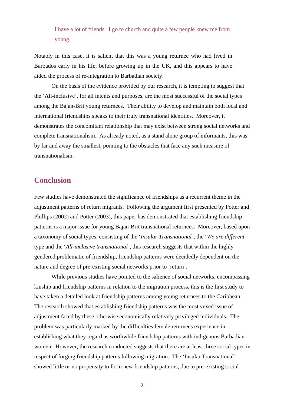I have a lot of friends. I go to church and quite a few people knew me from young.

Notably in this case, it is salient that this was a young returnee who had lived in Barbados early in his life, before growing up in the UK, and this appears to have aided the process of re-integration to Barbadian society.

On the basis of the evidence provided by our research, it is tempting to suggest that the 'All-inclusive', for all intents and purposes, are the most successful of the social types among the Bajan-Brit young returnees. Their ability to develop and maintain both local and international friendships speaks to their truly transnational identities. Moreover, it demonstrates the concomitant relationship that may exist between strong social networks and complete transnationalism. As already noted, as a stand alone group of informants, this was by far and away the smallest, pointing to the obstacles that face any such measure of transnationalism.

### **Conclusion**

Few studies have demonstrated the significance of friendships as a recurrent theme in the adjustment patterns of return migrants. Following the argument first presented by Potter and Phillips (2002) and Potter (2003), this paper has demonstrated that establishing friendship patterns is a major issue for young Bajan-Brit transnational returnees. Moreover, based upon a taxonomy of social types, consisting of the '*Insular Transnational'*, the '*We are different'* type and the '*All-inclusive transnational'*, this research suggests that within the highly gendered problematic of friendship, friendship patterns were decidedly dependent on the nature and degree of pre-existing social networks prior to 'return'.

While previous studies have pointed to the salience of social networks, encompassing kinship and friendship patterns in relation to the migration process, this is the first study to have taken a detailed look at friendship patterns among young returnees to the Caribbean. The research showed that establishing friendship patterns was the most vexed issue of adjustment faced by these otherwise economically relatively privileged individuals. The problem was particularly marked by the difficulties female returnees experience in establishing what they regard as worthwhile friendship patterns with indigenous Barbadian women. However, the research conducted suggests that there are at least three social types in respect of forging friendship patterns following migration. The 'Insular Transnational' showed little or no propensity to form new friendship patterns, due to pre-existing social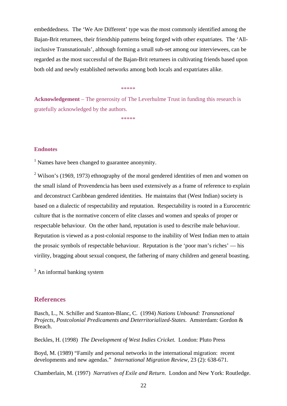embeddedness. The 'We Are Different' type was the most commonly identified among the Bajan-Brit returnees, their friendship patterns being forged with other expatriates. The 'Allinclusive Transnationals', although forming a small sub-set among our interviewees, can be regarded as the most successful of the Bajan-Brit returnees in cultivating friends based upon both old and newly established networks among both locals and expatriates alike.

\*\*\*\*\*

**Acknowledgement** – The generosity of The Leverhulme Trust in funding this research is gratefully acknowledged by the authors.

 $******$ 

### **Endnotes**

<sup>1</sup> Names have been changed to guarantee anonymity.

<sup>2</sup> Wilson's (1969, 1973) ethnography of the moral gendered identities of men and women on the small island of Provendencia has been used extensively as a frame of reference to explain and deconstruct Caribbean gendered identities. He maintains that (West Indian) society is based on a dialectic of respectability and reputation. Respectability is rooted in a Eurocentric culture that is the normative concern of elite classes and women and speaks of proper or respectable behaviour. On the other hand, reputation is used to describe male behaviour. Reputation is viewed as a post-colonial response to the inability of West Indian men to attain the prosaic symbols of respectable behaviour. Reputation is the 'poor man's riches' — his virility, bragging about sexual conquest, the fathering of many children and general boasting.

<sup>3</sup> An informal banking system

### **References**

Basch, L., N. Schiller and Szanton-Blanc, C. (1994) *Nations Unbound: Transnational Projects, Postcolonial Predicaments and Deterritorialized-States.* Amsterdam: Gordon & Breach.

Beckles, H. (1998) *The Development of West Indies Cricket.* London: Pluto Press

Boyd, M. (1989) "Family and personal networks in the international migration: recent developments and new agendas." *International Migration Review,* 23 (2): 638-671.

Chamberlain, M. (1997) *Narratives of Exile and Return*. London and New York: Routledge.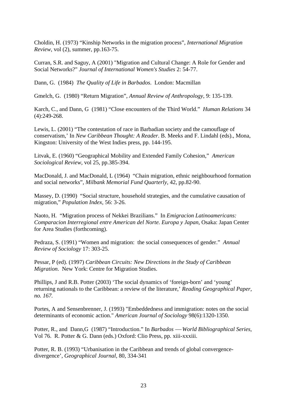Choldin, H. (1973) "Kinship Networks in the migration process", *International Migration Review*, vol (2), summer, pp.163-75.

Curran, S.R. and Saguy, A (2001) "Migration and Cultural Change: A Role for Gender and Social Networks?" *Journal of International Women's Studies* 2: 54-77.

Dann, G. (1984) *The Quality of Life in Barbados*. London: Macmillan

Gmelch, G. (1980) "Return Migration", *Annual Review of Anthropology*, 9: 135-139.

Karch, C., and Dann, G (1981) "Close encounters of the Third World." *Human Relations* 34 (4):249-268.

Lewis, L. (2001) "The contestation of race in Barbadian society and the camouflage of conservatism,' In *New Caribbean Thought: A Reader*. B. Meeks and F. Lindahl (eds)., Mona, Kingston: University of the West Indies press, pp. 144-195.

Litvak, E. (1960) "Geographical Mobility and Extended Family Cohesion," *American Sociological Review*, vol 25, pp.385-394.

MacDonald, J. and MacDonald, L (1964) "Chain migration, ethnic neighbourhood formation and social networks", *Milbank Memorial Fund Quarterly*, 42, pp.82-90.

Massey, D. (1990) "Social structure, household strategies, and the cumulative causation of migration," *Population Index*, 56: 3-26.

Naoto, H. "Migration process of Nekkei Brazilians." In *Emigracion Latinoamericans: Comparacion Interregional entre American del Norte. Europa y Japan*, Osaka: Japan Center for Area Studies (forthcoming).

Pedraza, S. (1991) "Women and migration: the social consequences of gender." *Annual Review of Sociology* 17: 303-25.

Pessar, P (ed). (1997) *Caribbean Circuits: New Directions in the Study of Caribbean Migration*. New York: Centre for Migration Studies.

Phillips, J and R.B. Potter (2003) 'The social dynamics of 'foreign-born' and 'young' returning nationals to the Caribbean: a review of the literature,' *Reading Geographical Paper, no. 167.* 

Portes, A and Sensenbrenner, J. (1993) "Embeddedness and immigration: notes on the social determinants of economic action." *American Journal of Sociology* 98(6):1320-1350.

Potter, R., and Dann,G (1987) "Introduction." In *Barbados* — *World Bibliographical Series*, Vol 76. R. Potter & G. Dann (eds.) Oxford: Clio Press, pp. xiii-xxxiii.

Potter, R. B. (1993) "Urbanisation in the Caribbean and trends of global convergencedivergence', *Geographical Journal*, 80, 334-341